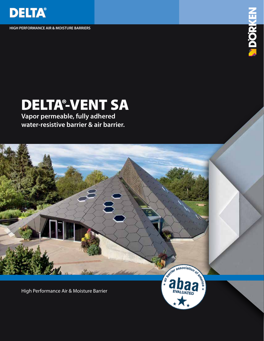

**HIGH PERFORMANCE AIR & MOISTURE BARRIERS**



## DELTA®-VENT SA

**Vapor permeable, fully adhered water-resistive barrier & air barrier.**

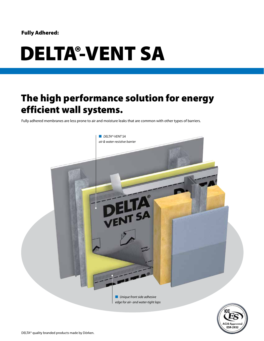#### Fully Adhered:

# DELTA®-VENT SA

### The high performance solution for energy efficient wall systems.

Fully adhered membranes are less prone to air and moisture leaks that are common with other types of barriers.

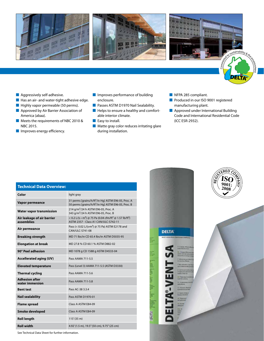





n $\tilde{\phantom{0}}$ 

**DELTA®** 

- Aggressively self-adhesive.
- Has an air- and water-tight adhesive edge.
- Highly vapor permeable (50 perms).
- Approved by Air Barrier Association of America (abaa).
- Meets the requirements of NBC 2010 & NBC 2015.
- **■** Improves energy efficiency.
- Improves performance of building enclosure.
- Passes ASTM D1970 Nail Sealability.
- Helps to ensure a healthy and comfortable interior climate.
- Easy to install.
- Matte gray color reduces irritating glare during installation.
- NFPA 285 compliant.
- Produced in our ISO 9001 registered manufacturing plant.
- Approved under International Building Code and International Residential Code (ICC ESR-2932).

| <b>Technical Data Overview:</b>          |                                                                                                                                            |
|------------------------------------------|--------------------------------------------------------------------------------------------------------------------------------------------|
| Color                                    | light gray                                                                                                                                 |
| Vapor permeance                          | 31 perms [grains/h/ft <sup>2</sup> /in Hg] ASTM E96-05, Proc. A<br>50 perms [grains/h/ft <sup>2</sup> /in Hg] ASTM E96-05, Proc. B         |
| <b>Water vapor transmission</b>          | 214 g/m <sup>2</sup> /24 h ASTM E96-05, Proc. A<br>343 g/m <sup>2</sup> /24 h ASTM E96-05, Proc. B                                         |
| Air leakage of air barrier<br>assemblies | < 0.2 L/(s · m <sup>2</sup> ) @ 75 Pa (0.04 cfm/ft <sup>2</sup> @ 1.57 lb/ft <sup>2</sup> )<br><b>ASTM 2357 - Class A1 CAN/ULC-S742-11</b> |
| Air permeance                            | Pass (< 0.02 L/(s-m <sup>2</sup> ) @ 75 Pa) ASTM E2178 and<br>CAN/ULC-S741-08                                                              |
| <b>Breaking strength</b>                 | MD 71 lbs/in CD 65.4 lbs/in ASTM D5035-95                                                                                                  |
| <b>Elongation at break</b>               | MD 27.8 % CD 60.1 % ASTM D882-02                                                                                                           |
| 90° Peel adhesion                        | MD 1078 g CD 1588 g ASTM D4533-04                                                                                                          |
| <b>Accellerated aging (UV)</b>           | Pass AAMA 711-5.5                                                                                                                          |
| <b>Elevated temperature</b>              | Pass (Level 3) AAMA 711-5.5 (ASTM D3330)                                                                                                   |
| <b>Thermal cycling</b>                   | Pass AAMA 711-5.6                                                                                                                          |
| <b>Adhesion after</b><br>water immersion | Pass AAMA 711-5.8                                                                                                                          |
| <b>Bent test</b>                         | Pass AC-38 3.3.4                                                                                                                           |
| <b>Nail sealability</b>                  | Pass ASTM D1970-01                                                                                                                         |
| <b>Flame spread</b>                      | Class A ASTM E84-09                                                                                                                        |
| Smoke developed                          | Class A ASTM E84-09                                                                                                                        |
| <b>Roll length</b>                       | 115'(35 m)                                                                                                                                 |
| <b>Roll width</b>                        | 4.92' (1.5 m), 19.5" (50 cm), 9.75" (25 cm)                                                                                                |



See Technical Data Sheet for further information.